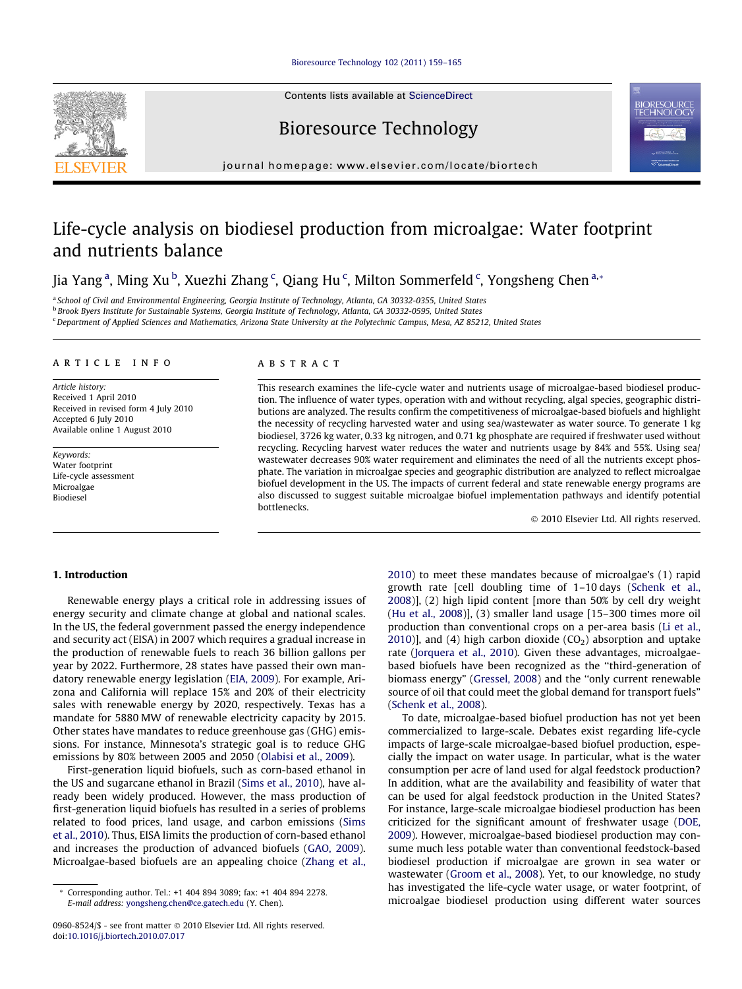#### [Bioresource Technology 102 \(2011\) 159–165](http://dx.doi.org/10.1016/j.biortech.2010.07.017)

Contents lists available at [ScienceDirect](http://www.sciencedirect.com/science/journal/09608524)



Bioresource Technology

journal homepage: [www.elsevier.com/locate/biortech](http://www.elsevier.com/locate/biortech)

## Life-cycle analysis on biodiesel production from microalgae: Water footprint and nutrients balance

Jia Yang<sup>a</sup>, Ming Xu<sup>b</sup>, Xuezhi Zhang<sup>c</sup>, Qiang Hu<sup>c</sup>, Milton Sommerfeld<sup>c</sup>, Yongsheng Chen<sup>a,</sup>\*

<sup>a</sup> School of Civil and Environmental Engineering, Georgia Institute of Technology, Atlanta, GA 30332-0355, United States <sup>b</sup> Brook Byers Institute for Sustainable Systems, Georgia Institute of Technology, Atlanta, GA 30332-0595, United States <sup>c</sup> Department of Applied Sciences and Mathematics, Arizona State University at the Polytechnic Campus, Mesa, AZ 85212, United States

#### article info

Article history: Received 1 April 2010 Received in revised form 4 July 2010 Accepted 6 July 2010 Available online 1 August 2010

Keywords: Water footprint Life-cycle assessment Microalgae Biodiesel

#### **ABSTRACT**

This research examines the life-cycle water and nutrients usage of microalgae-based biodiesel production. The influence of water types, operation with and without recycling, algal species, geographic distributions are analyzed. The results confirm the competitiveness of microalgae-based biofuels and highlight the necessity of recycling harvested water and using sea/wastewater as water source. To generate 1 kg biodiesel, 3726 kg water, 0.33 kg nitrogen, and 0.71 kg phosphate are required if freshwater used without recycling. Recycling harvest water reduces the water and nutrients usage by 84% and 55%. Using sea/ wastewater decreases 90% water requirement and eliminates the need of all the nutrients except phosphate. The variation in microalgae species and geographic distribution are analyzed to reflect microalgae biofuel development in the US. The impacts of current federal and state renewable energy programs are also discussed to suggest suitable microalgae biofuel implementation pathways and identify potential bottlenecks.

- 2010 Elsevier Ltd. All rights reserved.

### 1. Introduction

Renewable energy plays a critical role in addressing issues of energy security and climate change at global and national scales. In the US, the federal government passed the energy independence and security act (EISA) in 2007 which requires a gradual increase in the production of renewable fuels to reach 36 billion gallons per year by 2022. Furthermore, 28 states have passed their own mandatory renewable energy legislation ([EIA, 2009](#page-6-0)). For example, Arizona and California will replace 15% and 20% of their electricity sales with renewable energy by 2020, respectively. Texas has a mandate for 5880 MW of renewable electricity capacity by 2015. Other states have mandates to reduce greenhouse gas (GHG) emissions. For instance, Minnesota's strategic goal is to reduce GHG emissions by 80% between 2005 and 2050 ([Olabisi et al., 2009](#page-6-0)).

First-generation liquid biofuels, such as corn-based ethanol in the US and sugarcane ethanol in Brazil [\(Sims et al., 2010](#page-6-0)), have already been widely produced. However, the mass production of first-generation liquid biofuels has resulted in a series of problems related to food prices, land usage, and carbon emissions ([Sims](#page-6-0) [et al., 2010](#page-6-0)). Thus, EISA limits the production of corn-based ethanol and increases the production of advanced biofuels [\(GAO, 2009\)](#page-6-0). Microalgae-based biofuels are an appealing choice [\(Zhang et al.,](#page-6-0) [2010](#page-6-0)) to meet these mandates because of microalgae's (1) rapid growth rate [cell doubling time of 1–10 days [\(Schenk et al.,](#page-6-0) [2008](#page-6-0))], (2) high lipid content [more than 50% by cell dry weight ([Hu et al., 2008\)](#page-6-0)], (3) smaller land usage [15–300 times more oil production than conventional crops on a per-area basis ([Li et al.,](#page-6-0) [2010](#page-6-0))], and (4) high carbon dioxide  $(CO<sub>2</sub>)$  absorption and uptake rate [\(Jorquera et al., 2010](#page-6-0)). Given these advantages, microalgaebased biofuels have been recognized as the ''third-generation of biomass energy" [\(Gressel, 2008](#page-6-0)) and the ''only current renewable source of oil that could meet the global demand for transport fuels" ([Schenk et al., 2008](#page-6-0)).

To date, microalgae-based biofuel production has not yet been commercialized to large-scale. Debates exist regarding life-cycle impacts of large-scale microalgae-based biofuel production, especially the impact on water usage. In particular, what is the water consumption per acre of land used for algal feedstock production? In addition, what are the availability and feasibility of water that can be used for algal feedstock production in the United States? For instance, large-scale microalgae biodiesel production has been criticized for the significant amount of freshwater usage [\(DOE,](#page-6-0) [2009](#page-6-0)). However, microalgae-based biodiesel production may consume much less potable water than conventional feedstock-based biodiesel production if microalgae are grown in sea water or wastewater [\(Groom et al., 2008](#page-6-0)). Yet, to our knowledge, no study has investigated the life-cycle water usage, or water footprint, of microalgae biodiesel production using different water sources

Corresponding author. Tel.: +1 404 894 3089; fax: +1 404 894 2278. E-mail address: [yongsheng.chen@ce.gatech.edu](mailto:yongsheng.chen@ce.gatech.edu) (Y. Chen).

<sup>0960-8524/\$ -</sup> see front matter © 2010 Elsevier Ltd. All rights reserved. doi[:10.1016/j.biortech.2010.07.017](http://dx.doi.org/10.1016/j.biortech.2010.07.017)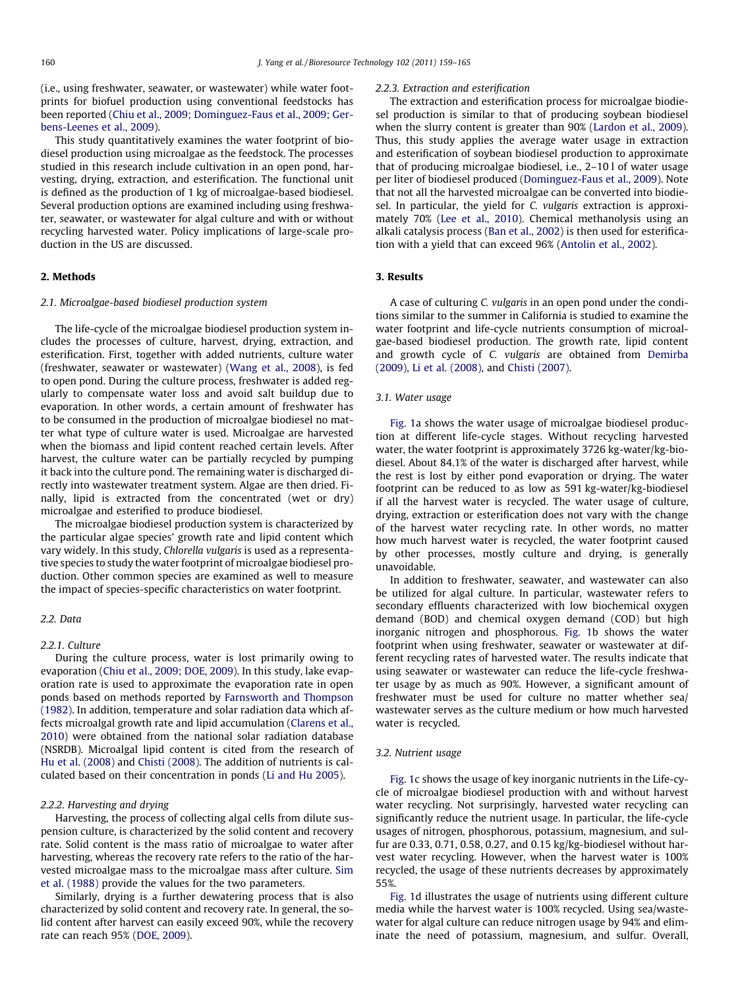(i.e., using freshwater, seawater, or wastewater) while water footprints for biofuel production using conventional feedstocks has been reported ([Chiu et al., 2009; Dominguez-Faus et al., 2009; Ger](#page-6-0)[bens-Leenes et al., 2009\)](#page-6-0).

This study quantitatively examines the water footprint of biodiesel production using microalgae as the feedstock. The processes studied in this research include cultivation in an open pond, harvesting, drying, extraction, and esterification. The functional unit is defined as the production of 1 kg of microalgae-based biodiesel. Several production options are examined including using freshwater, seawater, or wastewater for algal culture and with or without recycling harvested water. Policy implications of large-scale production in the US are discussed.

### 2. Methods

#### 2.1. Microalgae-based biodiesel production system

The life-cycle of the microalgae biodiesel production system includes the processes of culture, harvest, drying, extraction, and esterification. First, together with added nutrients, culture water (freshwater, seawater or wastewater) [\(Wang et al., 2008\)](#page-6-0), is fed to open pond. During the culture process, freshwater is added regularly to compensate water loss and avoid salt buildup due to evaporation. In other words, a certain amount of freshwater has to be consumed in the production of microalgae biodiesel no matter what type of culture water is used. Microalgae are harvested when the biomass and lipid content reached certain levels. After harvest, the culture water can be partially recycled by pumping it back into the culture pond. The remaining water is discharged directly into wastewater treatment system. Algae are then dried. Finally, lipid is extracted from the concentrated (wet or dry) microalgae and esterified to produce biodiesel.

The microalgae biodiesel production system is characterized by the particular algae species' growth rate and lipid content which vary widely. In this study, Chlorella vulgaris is used as a representative species to study the water footprint of microalgae biodiesel production. Other common species are examined as well to measure the impact of species-specific characteristics on water footprint.

#### 2.2. Data

#### 2.2.1. Culture

During the culture process, water is lost primarily owing to evaporation ([Chiu et al., 2009; DOE, 2009](#page-6-0)). In this study, lake evaporation rate is used to approximate the evaporation rate in open ponds based on methods reported by [Farnsworth and Thompson](#page-6-0) [\(1982\).](#page-6-0) In addition, temperature and solar radiation data which affects microalgal growth rate and lipid accumulation ([Clarens et al.,](#page-6-0) [2010\)](#page-6-0) were obtained from the national solar radiation database (NSRDB). Microalgal lipid content is cited from the research of [Hu et al. \(2008\)](#page-6-0) and [Chisti \(2008\).](#page-6-0) The addition of nutrients is calculated based on their concentration in ponds ([Li and Hu 2005](#page-6-0)).

#### 2.2.2. Harvesting and drying

Harvesting, the process of collecting algal cells from dilute suspension culture, is characterized by the solid content and recovery rate. Solid content is the mass ratio of microalgae to water after harvesting, whereas the recovery rate refers to the ratio of the harvested microalgae mass to the microalgae mass after culture. [Sim](#page-6-0) [et al. \(1988\)](#page-6-0) provide the values for the two parameters.

Similarly, drying is a further dewatering process that is also characterized by solid content and recovery rate. In general, the solid content after harvest can easily exceed 90%, while the recovery rate can reach 95% ([DOE, 2009](#page-6-0)).

#### 2.2.3. Extraction and esterification

The extraction and esterification process for microalgae biodiesel production is similar to that of producing soybean biodiesel when the slurry content is greater than 90% ([Lardon et al., 2009\)](#page-6-0). Thus, this study applies the average water usage in extraction and esterification of soybean biodiesel production to approximate that of producing microalgae biodiesel, i.e., 2–10 l of water usage per liter of biodiesel produced ([Dominguez-Faus et al., 2009\)](#page-6-0). Note that not all the harvested microalgae can be converted into biodiesel. In particular, the yield for C. vulgaris extraction is approximately 70% ([Lee et al., 2010](#page-6-0)). Chemical methanolysis using an alkali catalysis process [\(Ban et al., 2002\)](#page-5-0) is then used for esterification with a yield that can exceed 96% [\(Antolin et al., 2002\)](#page-5-0).

### 3. Results

A case of culturing C. vulgaris in an open pond under the conditions similar to the summer in California is studied to examine the water footprint and life-cycle nutrients consumption of microalgae-based biodiesel production. The growth rate, lipid content and growth cycle of C. vulgaris are obtained from [Demirba](#page-6-0) [\(2009\), Li et al. \(2008\),](#page-6-0) and [Chisti \(2007\).](#page-6-0)

#### 3.1. Water usage

[Fig. 1a](#page-2-0) shows the water usage of microalgae biodiesel production at different life-cycle stages. Without recycling harvested water, the water footprint is approximately 3726 kg-water/kg-biodiesel. About 84.1% of the water is discharged after harvest, while the rest is lost by either pond evaporation or drying. The water footprint can be reduced to as low as 591 kg-water/kg-biodiesel if all the harvest water is recycled. The water usage of culture, drying, extraction or esterification does not vary with the change of the harvest water recycling rate. In other words, no matter how much harvest water is recycled, the water footprint caused by other processes, mostly culture and drying, is generally unavoidable.

In addition to freshwater, seawater, and wastewater can also be utilized for algal culture. In particular, wastewater refers to secondary effluents characterized with low biochemical oxygen demand (BOD) and chemical oxygen demand (COD) but high inorganic nitrogen and phosphorous. [Fig. 1b](#page-2-0) shows the water footprint when using freshwater, seawater or wastewater at different recycling rates of harvested water. The results indicate that using seawater or wastewater can reduce the life-cycle freshwater usage by as much as 90%. However, a significant amount of freshwater must be used for culture no matter whether sea/ wastewater serves as the culture medium or how much harvested water is recycled.

#### 3.2. Nutrient usage

[Fig. 1](#page-2-0)c shows the usage of key inorganic nutrients in the Life-cycle of microalgae biodiesel production with and without harvest water recycling. Not surprisingly, harvested water recycling can significantly reduce the nutrient usage. In particular, the life-cycle usages of nitrogen, phosphorous, potassium, magnesium, and sulfur are 0.33, 0.71, 0.58, 0.27, and 0.15 kg/kg-biodiesel without harvest water recycling. However, when the harvest water is 100% recycled, the usage of these nutrients decreases by approximately 55%.

[Fig. 1d](#page-2-0) illustrates the usage of nutrients using different culture media while the harvest water is 100% recycled. Using sea/wastewater for algal culture can reduce nitrogen usage by 94% and eliminate the need of potassium, magnesium, and sulfur. Overall,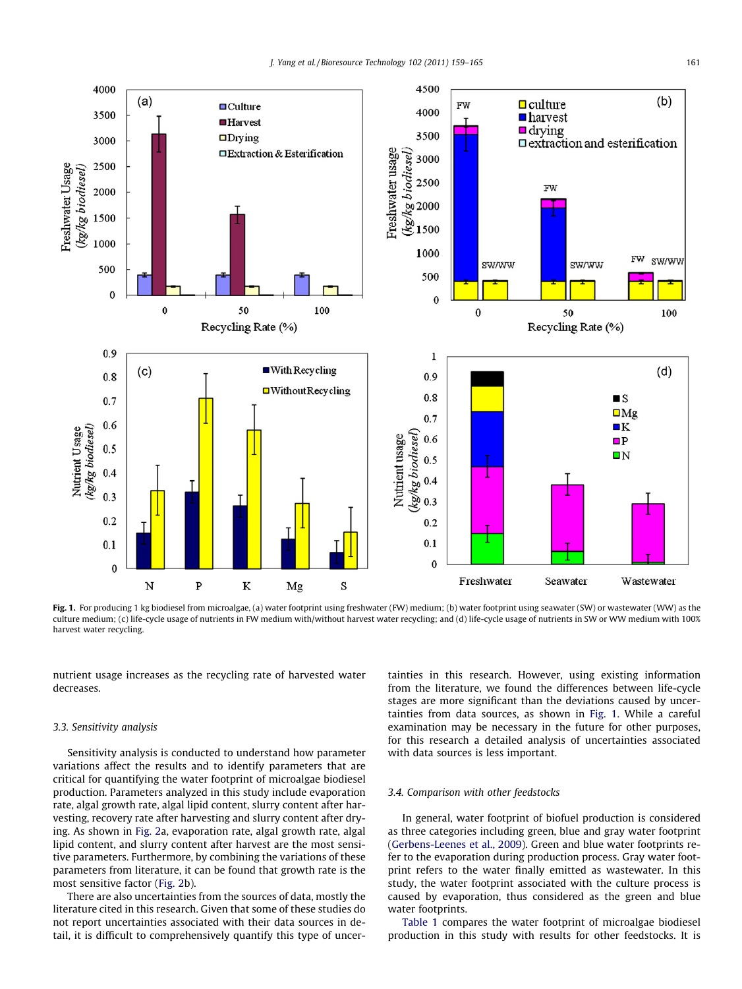<span id="page-2-0"></span>

Fig. 1. For producing 1 kg biodiesel from microalgae, (a) water footprint using freshwater (FW) medium; (b) water footprint using seawater (SW) or wastewater (WW) as the culture medium; (c) life-cycle usage of nutrients in FW medium with/without harvest water recycling; and (d) life-cycle usage of nutrients in SW or WW medium with 100% harvest water recycling.

nutrient usage increases as the recycling rate of harvested water decreases.

#### 3.3. Sensitivity analysis

Sensitivity analysis is conducted to understand how parameter variations affect the results and to identify parameters that are critical for quantifying the water footprint of microalgae biodiesel production. Parameters analyzed in this study include evaporation rate, algal growth rate, algal lipid content, slurry content after harvesting, recovery rate after harvesting and slurry content after drying. As shown in [Fig. 2](#page-3-0)a, evaporation rate, algal growth rate, algal lipid content, and slurry content after harvest are the most sensitive parameters. Furthermore, by combining the variations of these parameters from literature, it can be found that growth rate is the most sensitive factor ([Fig. 2b](#page-3-0)).

There are also uncertainties from the sources of data, mostly the literature cited in this research. Given that some of these studies do not report uncertainties associated with their data sources in detail, it is difficult to comprehensively quantify this type of uncertainties in this research. However, using existing information from the literature, we found the differences between life-cycle stages are more significant than the deviations caused by uncertainties from data sources, as shown in Fig. 1. While a careful examination may be necessary in the future for other purposes, for this research a detailed analysis of uncertainties associated with data sources is less important.

#### 3.4. Comparison with other feedstocks

In general, water footprint of biofuel production is considered as three categories including green, blue and gray water footprint ([Gerbens-Leenes et al., 2009\)](#page-6-0). Green and blue water footprints refer to the evaporation during production process. Gray water footprint refers to the water finally emitted as wastewater. In this study, the water footprint associated with the culture process is caused by evaporation, thus considered as the green and blue water footprints.

[Table 1](#page-3-0) compares the water footprint of microalgae biodiesel production in this study with results for other feedstocks. It is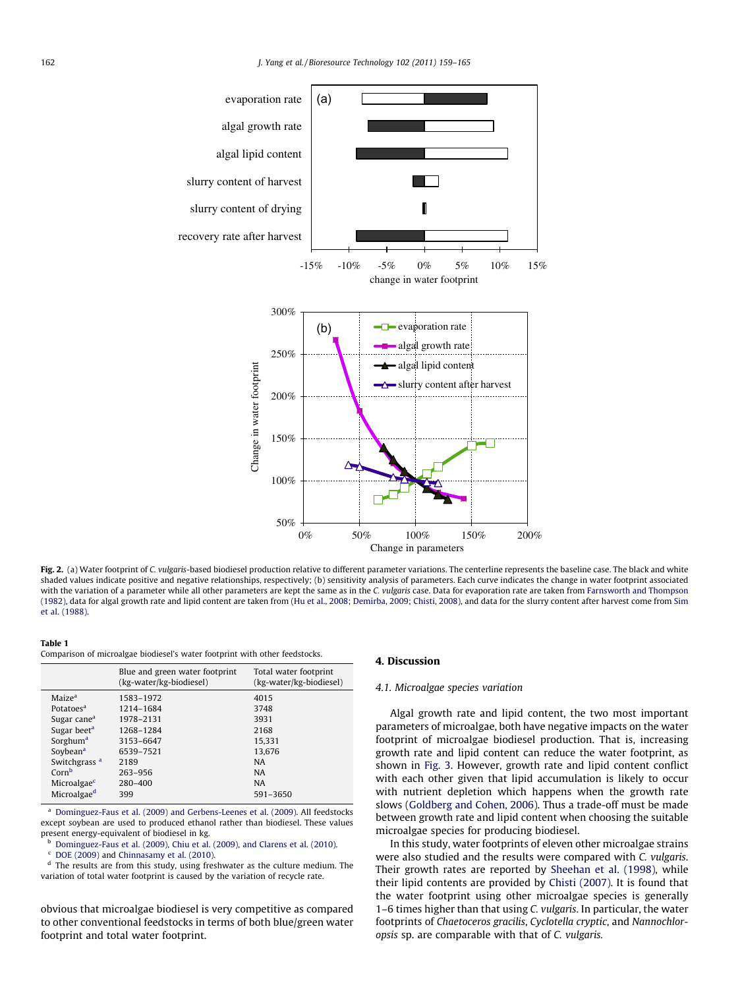<span id="page-3-0"></span>

Fig. 2. (a) Water footprint of C. vulgaris-based biodiesel production relative to different parameter variations. The centerline represents the baseline case. The black and white shaded values indicate positive and negative relationships, respectively; (b) sensitivity analysis of parameters. Each curve indicates the change in water footprint associated with the variation of a parameter while all other parameters are kept the same as in the C. *vulgaris* case. Data for evaporation rate are taken from [Farnsworth and Thompson](#page-6-0) [\(1982\),](#page-6-0) data for algal growth rate and lipid content are taken from [\(Hu et al., 2008;](#page-6-0) [Demirba, 2009; Chisti, 2008\)](#page-6-0), and data for the slurry content after harvest come from [Sim](#page-6-0) [et al. \(1988\).](#page-6-0)

#### Table 1

Comparison of microalgae biodiesel's water footprint with other feedstocks.

|                          | Blue and green water footprint<br>(kg-water/kg-biodiesel) | Total water footprint<br>(kg-water/kg-biodiesel) |
|--------------------------|-----------------------------------------------------------|--------------------------------------------------|
| Maize <sup>a</sup>       | 1583-1972                                                 | 4015                                             |
| Potatoes <sup>a</sup>    | 1214-1684                                                 | 3748                                             |
| Sugar cane <sup>a</sup>  | 1978-2131                                                 | 3931                                             |
| Sugar beet <sup>a</sup>  | 1268-1284                                                 | 2168                                             |
| Sorghum <sup>a</sup>     | 3153-6647                                                 | 15,331                                           |
| Soybean <sup>a</sup>     | 6539-7521                                                 | 13.676                                           |
| Switchgrass <sup>a</sup> | 2189                                                      | <b>NA</b>                                        |
| Corn <sup>b</sup>        | 263-956                                                   | <b>NA</b>                                        |
| Microalgae <sup>c</sup>  | 280-400                                                   | <b>NA</b>                                        |
| Microalgae <sup>d</sup>  | 399                                                       | 591-3650                                         |

<sup>a</sup> [Dominguez-Faus et al. \(2009\) and Gerbens-Leenes et al. \(2009\).](#page-6-0) All feedstocks except soybean are used to produced ethanol rather than biodiesel. These values present energy-equivalent of biodiesel in kg.

<sup>b</sup> [Dominguez-Faus et al. \(2009\), Chiu et al. \(2009\), and Clarens et al. \(2010\).](#page-6-0)

[DOE \(2009\)](#page-6-0) and [Chinnasamy et al. \(2010\).](#page-6-0)

<sup>d</sup> The results are from this study, using freshwater as the culture medium. The variation of total water footprint is caused by the variation of recycle rate.

obvious that microalgae biodiesel is very competitive as compared to other conventional feedstocks in terms of both blue/green water footprint and total water footprint.

#### 4. Discussion

#### 4.1. Microalgae species variation

Algal growth rate and lipid content, the two most important parameters of microalgae, both have negative impacts on the water footprint of microalgae biodiesel production. That is, increasing growth rate and lipid content can reduce the water footprint, as shown in [Fig. 3.](#page-4-0) However, growth rate and lipid content conflict with each other given that lipid accumulation is likely to occur with nutrient depletion which happens when the growth rate slows ([Goldberg and Cohen, 2006\)](#page-6-0). Thus a trade-off must be made between growth rate and lipid content when choosing the suitable microalgae species for producing biodiesel.

In this study, water footprints of eleven other microalgae strains were also studied and the results were compared with C. vulgaris. Their growth rates are reported by [Sheehan et al. \(1998\)](#page-6-0), while their lipid contents are provided by [Chisti \(2007\)](#page-6-0). It is found that the water footprint using other microalgae species is generally 1–6 times higher than that using C. vulgaris. In particular, the water footprints of Chaetoceros gracilis, Cyclotella cryptic, and Nannochloropsis sp. are comparable with that of C. vulgaris.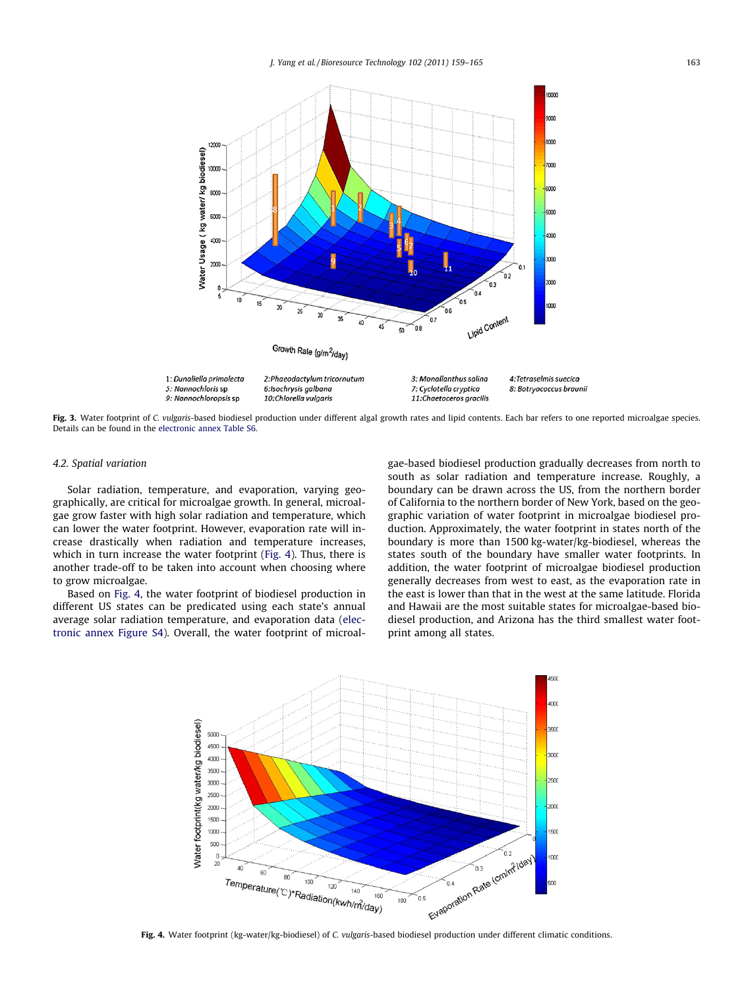<span id="page-4-0"></span>

Fig. 3. Water footprint of C. vulgaris-based biodiesel production under different algal growth rates and lipid contents. Each bar refers to one reported microalgae species. Details can be found in the electronic annex Table S6.

#### 4.2. Spatial variation

Solar radiation, temperature, and evaporation, varying geographically, are critical for microalgae growth. In general, microalgae grow faster with high solar radiation and temperature, which can lower the water footprint. However, evaporation rate will increase drastically when radiation and temperature increases, which in turn increase the water footprint (Fig. 4). Thus, there is another trade-off to be taken into account when choosing where to grow microalgae.

Based on Fig. 4, the water footprint of biodiesel production in different US states can be predicated using each state's annual average solar radiation temperature, and evaporation data (electronic annex Figure S4). Overall, the water footprint of microalgae-based biodiesel production gradually decreases from north to south as solar radiation and temperature increase. Roughly, a boundary can be drawn across the US, from the northern border of California to the northern border of New York, based on the geographic variation of water footprint in microalgae biodiesel production. Approximately, the water footprint in states north of the boundary is more than 1500 kg-water/kg-biodiesel, whereas the states south of the boundary have smaller water footprints. In addition, the water footprint of microalgae biodiesel production generally decreases from west to east, as the evaporation rate in the east is lower than that in the west at the same latitude. Florida and Hawaii are the most suitable states for microalgae-based biodiesel production, and Arizona has the third smallest water footprint among all states.



Fig. 4. Water footprint (kg-water/kg-biodiesel) of C. vulgaris-based biodiesel production under different climatic conditions.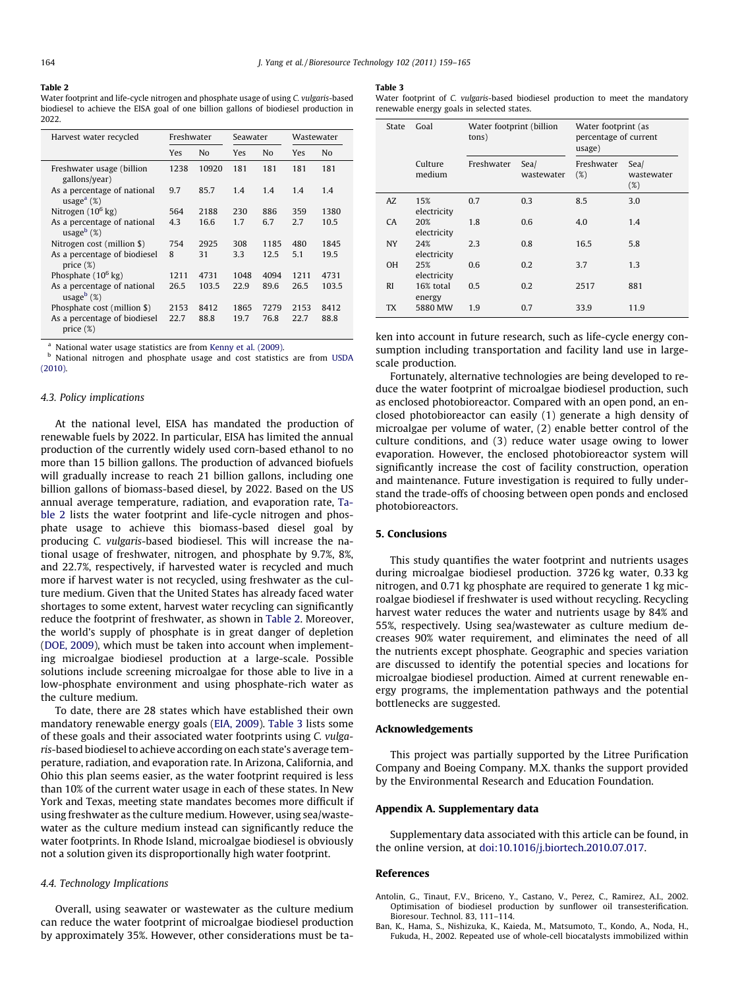#### <span id="page-5-0"></span>Table 2

Water footprint and life-cycle nitrogen and phosphate usage of using C. vulgaris-based biodiesel to achieve the EISA goal of one billion gallons of biodiesel production in 2022.

| Harvest water recycled                              | Freshwater |       | Seawater |                | Wastewater |                |
|-----------------------------------------------------|------------|-------|----------|----------------|------------|----------------|
|                                                     | Yes        | No    | Yes      | N <sub>0</sub> | Yes        | N <sub>0</sub> |
| Freshwater usage (billion<br>gallons/year)          | 1238       | 10920 | 181      | 181            | 181        | 181            |
| As a percentage of national<br>usage $^{\rm a}$ (%) | 9.7        | 85.7  | 1.4      | 1.4            | 1.4        | 1.4            |
| Nitrogen $(10^6 \text{ kg})$                        | 564        | 2188  | 230      | 886            | 359        | 1380           |
| As a percentage of national<br>usage $^{\rm b}$ (%) | 4.3        | 16.6  | 1.7      | 6.7            | 2.7        | 10.5           |
| Nitrogen cost (million \$)                          | 754        | 2925  | 308      | 1185           | 480        | 1845           |
| As a percentage of biodiesel<br>price $(\%)$        | 8          | 31    | 3.3      | 12.5           | 5.1        | 19.5           |
| Phosphate $(10^6 \text{ kg})$                       | 1211       | 4731  | 1048     | 4094           | 1211       | 4731           |
| As a percentage of national<br>usage $^{\rm b}$ (%) | 26.5       | 103.5 | 22.9     | 89.6           | 26.5       | 103.5          |
| Phosphate cost (million \$)                         | 2153       | 8412  | 1865     | 7279           | 2153       | 8412           |
| As a percentage of biodiesel<br>price $(\%)$        | 22.7       | 88.8  | 19.7     | 76.8           | 22.7       | 88.8           |

<sup>a</sup> National water usage statistics are from [Kenny et al. \(2009\).](#page-6-0)

<sup>b</sup> National nitrogen and phosphate usage and cost statistics are from [USDA](#page-6-0) [\(2010\).](#page-6-0)

#### 4.3. Policy implications

At the national level, EISA has mandated the production of renewable fuels by 2022. In particular, EISA has limited the annual production of the currently widely used corn-based ethanol to no more than 15 billion gallons. The production of advanced biofuels will gradually increase to reach 21 billion gallons, including one billion gallons of biomass-based diesel, by 2022. Based on the US annual average temperature, radiation, and evaporation rate, Table 2 lists the water footprint and life-cycle nitrogen and phosphate usage to achieve this biomass-based diesel goal by producing C. vulgaris-based biodiesel. This will increase the national usage of freshwater, nitrogen, and phosphate by 9.7%, 8%, and 22.7%, respectively, if harvested water is recycled and much more if harvest water is not recycled, using freshwater as the culture medium. Given that the United States has already faced water shortages to some extent, harvest water recycling can significantly reduce the footprint of freshwater, as shown in Table 2. Moreover, the world's supply of phosphate is in great danger of depletion ([DOE, 2009](#page-6-0)), which must be taken into account when implementing microalgae biodiesel production at a large-scale. Possible solutions include screening microalgae for those able to live in a low-phosphate environment and using phosphate-rich water as the culture medium.

To date, there are 28 states which have established their own mandatory renewable energy goals [\(EIA, 2009\)](#page-6-0). Table 3 lists some of these goals and their associated water footprints using C. vulgaris-based biodiesel to achieve according on each state's average temperature, radiation, and evaporation rate. In Arizona, California, and Ohio this plan seems easier, as the water footprint required is less than 10% of the current water usage in each of these states. In New York and Texas, meeting state mandates becomes more difficult if using freshwater as the culture medium. However, using sea/wastewater as the culture medium instead can significantly reduce the water footprints. In Rhode Island, microalgae biodiesel is obviously not a solution given its disproportionally high water footprint.

#### 4.4. Technology Implications

Overall, using seawater or wastewater as the culture medium can reduce the water footprint of microalgae biodiesel production by approximately 35%. However, other considerations must be ta-

#### Table 3

Water footprint of C. vulgaris-based biodiesel production to meet the mandatory renewable energy goals in selected states.

| State     | Goal                | Water footprint (billion<br>tons) |                    | Water footprint (as<br>percentage of current<br>usage) |                              |  |
|-----------|---------------------|-----------------------------------|--------------------|--------------------------------------------------------|------------------------------|--|
|           | Culture<br>medium   | Freshwater                        | Sea/<br>wastewater | Freshwater<br>(%)                                      | Sea/<br>wastewater<br>$(\%)$ |  |
| AZ        | 15%<br>electricity  | 0.7                               | 0.3                | 8.5                                                    | 3.0                          |  |
| CA        | 20%<br>electricity  | 1.8                               | 0.6                | 4.0                                                    | 1.4                          |  |
| <b>NY</b> | 24%<br>electricity  | 2.3                               | 0.8                | 16.5                                                   | 5.8                          |  |
| <b>OH</b> | 25%<br>electricity  | 0.6                               | 0.2                | 3.7                                                    | 1.3                          |  |
| <b>RI</b> | 16% total<br>energy | 0.5                               | 0.2                | 2517                                                   | 881                          |  |
| <b>TX</b> | 5880 MW             | 1.9                               | 0.7                | 33.9                                                   | 11.9                         |  |

ken into account in future research, such as life-cycle energy consumption including transportation and facility land use in largescale production.

Fortunately, alternative technologies are being developed to reduce the water footprint of microalgae biodiesel production, such as enclosed photobioreactor. Compared with an open pond, an enclosed photobioreactor can easily (1) generate a high density of microalgae per volume of water, (2) enable better control of the culture conditions, and (3) reduce water usage owing to lower evaporation. However, the enclosed photobioreactor system will significantly increase the cost of facility construction, operation and maintenance. Future investigation is required to fully understand the trade-offs of choosing between open ponds and enclosed photobioreactors.

### 5. Conclusions

This study quantifies the water footprint and nutrients usages during microalgae biodiesel production. 3726 kg water, 0.33 kg nitrogen, and 0.71 kg phosphate are required to generate 1 kg microalgae biodiesel if freshwater is used without recycling. Recycling harvest water reduces the water and nutrients usage by 84% and 55%, respectively. Using sea/wastewater as culture medium decreases 90% water requirement, and eliminates the need of all the nutrients except phosphate. Geographic and species variation are discussed to identify the potential species and locations for microalgae biodiesel production. Aimed at current renewable energy programs, the implementation pathways and the potential bottlenecks are suggested.

#### Acknowledgements

This project was partially supported by the Litree Purification Company and Boeing Company. M.X. thanks the support provided by the Environmental Research and Education Foundation.

#### Appendix A. Supplementary data

Supplementary data associated with this article can be found, in the online version, at [doi:10.1016/j.biortech.2010.07.017](http://dx.doi.org/10.1016/j.biortech.2010.07.017).

#### References

- Antolin, G., Tinaut, F.V., Briceno, Y., Castano, V., Perez, C., Ramirez, A.I., 2002. Optimisation of biodiesel production by sunflower oil transesterification. Bioresour. Technol. 83, 111–114.
- Ban, K., Hama, S., Nishizuka, K., Kaieda, M., Matsumoto, T., Kondo, A., Noda, H., Fukuda, H., 2002. Repeated use of whole-cell biocatalysts immobilized within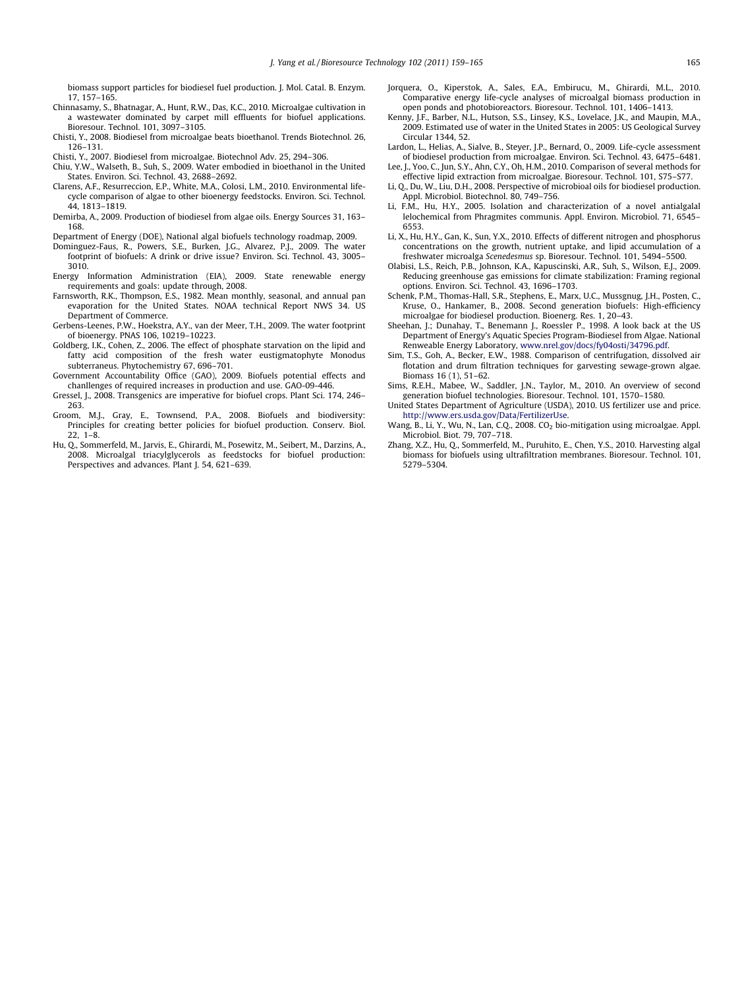<span id="page-6-0"></span>biomass support particles for biodiesel fuel production. J. Mol. Catal. B. Enzym. 17, 157–165.

- Chinnasamy, S., Bhatnagar, A., Hunt, R.W., Das, K.C., 2010. Microalgae cultivation in a wastewater dominated by carpet mill effluents for biofuel applications. Bioresour. Technol. 101, 3097–3105.
- Chisti, Y., 2008. Biodiesel from microalgae beats bioethanol. Trends Biotechnol. 26, 126–131.
- Chisti, Y., 2007. Biodiesel from microalgae. Biotechnol Adv. 25, 294–306.
- Chiu, Y.W., Walseth, B., Suh, S., 2009. Water embodied in bioethanol in the United States. Environ. Sci. Technol. 43, 2688–2692.
- Clarens, A.F., Resurreccion, E.P., White, M.A., Colosi, L.M., 2010. Environmental lifecycle comparison of algae to other bioenergy feedstocks. Environ. Sci. Technol. 44, 1813–1819.
- Demirba, A., 2009. Production of biodiesel from algae oils. Energy Sources 31, 163– 168.
- Department of Energy (DOE), National algal biofuels technology roadmap, 2009.
- Dominguez-Faus, R., Powers, S.E., Burken, J.G., Alvarez, P.J., 2009. The water footprint of biofuels: A drink or drive issue? Environ. Sci. Technol. 43, 3005– 3010.
- Energy Information Administration (EIA), 2009. State renewable energy requirements and goals: update through, 2008.
- Farnsworth, R.K., Thompson, E.S., 1982. Mean monthly, seasonal, and annual pan evaporation for the United States. NOAA technical Report NWS 34. US Department of Commerce.
- Gerbens-Leenes, P.W., Hoekstra, A.Y., van der Meer, T.H., 2009. The water footprint of bioenergy. PNAS 106, 10219–10223.
- Goldberg, I.K., Cohen, Z., 2006. The effect of phosphate starvation on the lipid and fatty acid composition of the fresh water eustigmatophyte Monodus subterraneus. Phytochemistry 67, 696–701.
- Government Accountability Office (GAO), 2009. Biofuels potential effects and chanllenges of required increases in production and use. GAO-09-446.
- Gressel, J., 2008. Transgenics are imperative for biofuel crops. Plant Sci. 174, 246– 263.
- Groom, M.J., Gray, E., Townsend, P.A., 2008. Biofuels and biodiversity: Principles for creating better policies for biofuel production. Conserv. Biol. 22, 1–8.
- Hu, Q., Sommerfeld, M., Jarvis, E., Ghirardi, M., Posewitz, M., Seibert, M., Darzins, A., 2008. Microalgal triacylglycerols as feedstocks for biofuel production: Perspectives and advances. Plant J. 54, 621–639.
- Jorquera, O., Kiperstok, A., Sales, E.A., Embirucu, M., Ghirardi, M.L., 2010. Comparative energy life-cycle analyses of microalgal biomass production in open ponds and photobioreactors. Bioresour. Technol. 101, 1406–1413.
- Kenny, J.F., Barber, N.L., Hutson, S.S., Linsey, K.S., Lovelace, J.K., and Maupin, M.A., 2009. Estimated use of water in the United States in 2005: US Geological Survey Circular 1344, 52.
- Lardon, L., Helias, A., Sialve, B., Steyer, J.P., Bernard, O., 2009. Life-cycle assessment of biodiesel production from microalgae. Environ. Sci. Technol. 43, 6475–6481.
- Lee, J., Yoo, C., Jun, S.Y., Ahn, C.Y., Oh, H.M., 2010. Comparison of several methods for effective lipid extraction from microalgae. Bioresour. Technol. 101, S75–S77.
- Li, Q., Du, W., Liu, D.H., 2008. Perspective of microbioal oils for biodiesel production. Appl. Microbiol. Biotechnol. 80, 749–756.
- Li, F.M., Hu, H.Y., 2005. Isolation and characterization of a novel antialgalal lelochemical from Phragmites communis. Appl. Environ. Microbiol. 71, 6545– 6553.
- Li, X., Hu, H.Y., Gan, K., Sun, Y.X., 2010. Effects of different nitrogen and phosphorus concentrations on the growth, nutrient uptake, and lipid accumulation of a freshwater microalga Scenedesmus sp. Bioresour. Technol. 101, 5494–5500.
- Olabisi, L.S., Reich, P.B., Johnson, K.A., Kapuscinski, A.R., Suh, S., Wilson, E.J., 2009. Reducing greenhouse gas emissions for climate stabilization: Framing regional options. Environ. Sci. Technol. 43, 1696–1703.
- Schenk, P.M., Thomas-Hall, S.R., Stephens, E., Marx, U.C., Mussgnug, J.H., Posten, C., Kruse, O., Hankamer, B., 2008. Second generation biofuels: High-efficiency microalgae for biodiesel production. Bioenerg. Res. 1, 20–43.
- Sheehan, J.; Dunahay, T., Benemann J., Roessler P., 1998. A look back at the US Department of Energy's Aquatic Species Program-Biodiesel from Algae. National Renweable Energy Laboratory, [www.nrel.gov/docs/fy04osti/34796.pdf](http://www.nrel.gov/docs/fy04osti/34796.pdf).
- Sim, T.S., Goh, A., Becker, E.W., 1988. Comparison of centrifugation, dissolved air flotation and drum filtration techniques for garvesting sewage-grown algae. Biomass 16 (1), 51–62.
- Sims, R.E.H., Mabee, W., Saddler, J.N., Taylor, M., 2010. An overview of second generation biofuel technologies. Bioresour. Technol. 101, 1570–1580.
- United States Department of Agriculture (USDA), 2010. US fertilizer use and price. <http://www.ers.usda.gov/Data/FertilizerUse>.
- Wang, B., Li, Y., Wu, N., Lan, C.Q., 2008. CO<sub>2</sub> bio-mitigation using microalgae. Appl. Microbiol. Biot. 79, 707–718.
- Zhang, X.Z., Hu, Q., Sommerfeld, M., Puruhito, E., Chen, Y.S., 2010. Harvesting algal biomass for biofuels using ultrafiltration membranes. Bioresour. Technol. 101, 5279–5304.